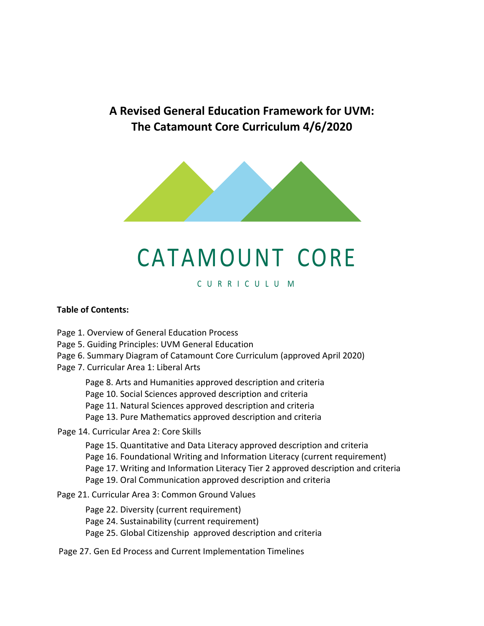# **A Revised General Education Framework for UVM: The Catamount Core Curriculum 4/6/2020**



# CATAMOUNT CORE

# C U R R I C U L U M

#### **Table of Contents:**

Page 1. Overview of General Education Process

Page 5. Guiding Principles: UVM General Education

Page 6. Summary Diagram of Catamount Core Curriculum (approved April 2020)

Page 7. Curricular Area 1: Liberal Arts

Page 8. Arts and Humanities approved description and criteria

Page 10. Social Sciences approved description and criteria

Page 11. Natural Sciences approved description and criteria

Page 13. Pure Mathematics approved description and criteria

Page 14. Curricular Area 2: Core Skills

Page 15. Quantitative and Data Literacy approved description and criteria

Page 16. Foundational Writing and Information Literacy (current requirement)

Page 17. Writing and Information Literacy Tier 2 approved description and criteria

Page 19. Oral Communication approved description and criteria

Page 21. Curricular Area 3: Common Ground Values

Page 22. Diversity (current requirement)

Page 24. Sustainability (current requirement)

Page 25. Global Citizenship approved description and criteria

Page 27. Gen Ed Process and Current Implementation Timelines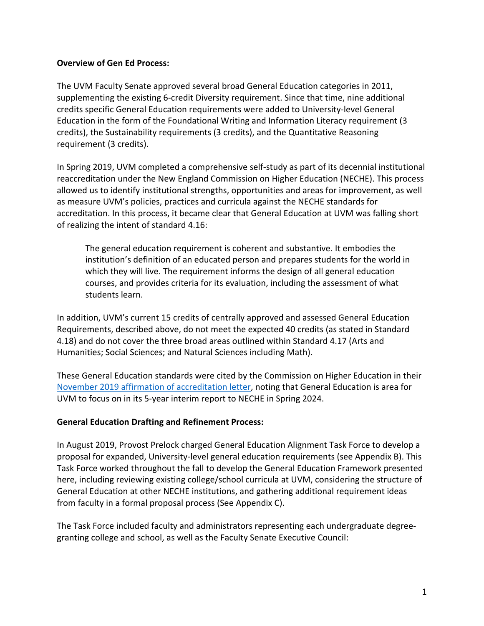#### **Overview of Gen Ed Process:**

The UVM Faculty Senate approved several broad General Education categories in 2011, supplementing the existing 6-credit Diversity requirement. Since that time, nine additional credits specific General Education requirements were added to University-level General Education in the form of the Foundational Writing and Information Literacy requirement (3 credits), the Sustainability requirements (3 credits), and the Quantitative Reasoning requirement (3 credits).

In Spring 2019, UVM completed a comprehensive self-study as part of its decennial institutional reaccreditation under the New England Commission on Higher Education (NECHE). This process allowed us to identify institutional strengths, opportunities and areas for improvement, as well as measure UVM's policies, practices and curricula against the NECHE standards for accreditation. In this process, it became clear that General Education at UVM was falling short of realizing the intent of standard 4.16:

The general education requirement is coherent and substantive. It embodies the institution's definition of an educated person and prepares students for the world in which they will live. The requirement informs the design of all general education courses, and provides criteria for its evaluation, including the assessment of what students learn.

In addition, UVM's current 15 credits of centrally approved and assessed General Education Requirements, described above, do not meet the expected 40 credits (as stated in Standard 4.18) and do not cover the three broad areas outlined within Standard 4.17 (Arts and Humanities; Social Sciences; and Natural Sciences including Math).

These General Education standards were cited by the Commission on Higher Education in their November 2019 affirmation of accreditation letter, noting that General Education is area for UVM to focus on in its 5-year interim report to NECHE in Spring 2024.

# **General Education Drafting and Refinement Process:**

In August 2019, Provost Prelock charged General Education Alignment Task Force to develop a proposal for expanded, University-level general education requirements (see Appendix B). This Task Force worked throughout the fall to develop the General Education Framework presented here, including reviewing existing college/school curricula at UVM, considering the structure of General Education at other NECHE institutions, and gathering additional requirement ideas from faculty in a formal proposal process (See Appendix C).

The Task Force included faculty and administrators representing each undergraduate degreegranting college and school, as well as the Faculty Senate Executive Council: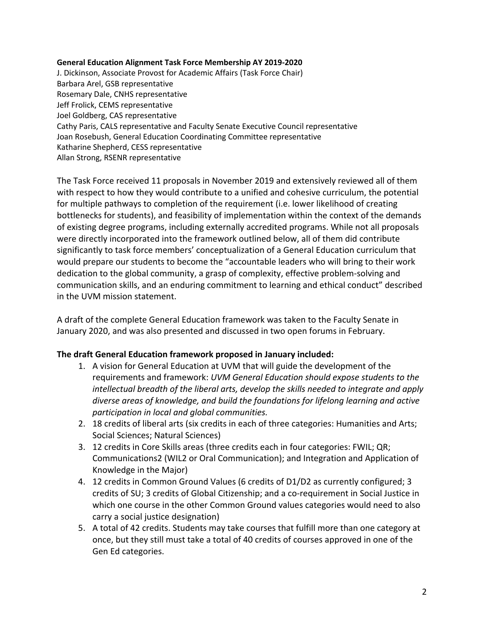#### **General Education Alignment Task Force Membership AY 2019-2020**

J. Dickinson, Associate Provost for Academic Affairs (Task Force Chair) Barbara Arel, GSB representative Rosemary Dale, CNHS representative Jeff Frolick, CEMS representative Joel Goldberg, CAS representative Cathy Paris, CALS representative and Faculty Senate Executive Council representative Joan Rosebush, General Education Coordinating Committee representative Katharine Shepherd, CESS representative Allan Strong, RSENR representative

The Task Force received 11 proposals in November 2019 and extensively reviewed all of them with respect to how they would contribute to a unified and cohesive curriculum, the potential for multiple pathways to completion of the requirement (i.e. lower likelihood of creating bottlenecks for students), and feasibility of implementation within the context of the demands of existing degree programs, including externally accredited programs. While not all proposals were directly incorporated into the framework outlined below, all of them did contribute significantly to task force members' conceptualization of a General Education curriculum that would prepare our students to become the "accountable leaders who will bring to their work dedication to the global community, a grasp of complexity, effective problem-solving and communication skills, and an enduring commitment to learning and ethical conduct" described in the UVM mission statement.

A draft of the complete General Education framework was taken to the Faculty Senate in January 2020, and was also presented and discussed in two open forums in February.

#### **The draft General Education framework proposed in January included:**

- 1. A vision for General Education at UVM that will guide the development of the requirements and framework: *UVM General Education should expose students to the intellectual breadth of the liberal arts, develop the skills needed to integrate and apply diverse areas of knowledge, and build the foundations for lifelong learning and active participation in local and global communities.*
- 2. 18 credits of liberal arts (six credits in each of three categories: Humanities and Arts; Social Sciences; Natural Sciences)
- 3. 12 credits in Core Skills areas (three credits each in four categories: FWIL; QR; Communications2 (WIL2 or Oral Communication); and Integration and Application of Knowledge in the Major)
- 4. 12 credits in Common Ground Values (6 credits of D1/D2 as currently configured; 3 credits of SU; 3 credits of Global Citizenship; and a co-requirement in Social Justice in which one course in the other Common Ground values categories would need to also carry a social justice designation)
- 5. A total of 42 credits. Students may take courses that fulfill more than one category at once, but they still must take a total of 40 credits of courses approved in one of the Gen Ed categories.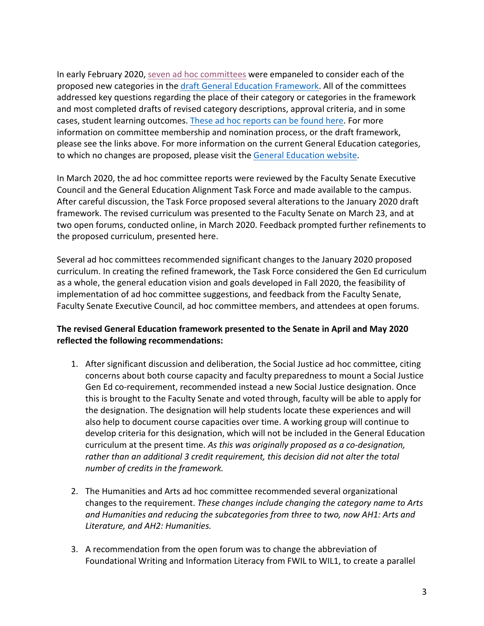In early February 2020, seven ad hoc committees were empaneled to consider each of the proposed new categories in the draft General Education Framework. All of the committees addressed key questions regarding the place of their category or categories in the framework and most completed drafts of revised category descriptions, approval criteria, and in some cases, student learning outcomes. These ad hoc reports can be found here. For more information on committee membership and nomination process, or the draft framework, please see the links above. For more information on the current General Education categories, to which no changes are proposed, please visit the General Education website.

In March 2020, the ad hoc committee reports were reviewed by the Faculty Senate Executive Council and the General Education Alignment Task Force and made available to the campus. After careful discussion, the Task Force proposed several alterations to the January 2020 draft framework. The revised curriculum was presented to the Faculty Senate on March 23, and at two open forums, conducted online, in March 2020. Feedback prompted further refinements to the proposed curriculum, presented here.

Several ad hoc committees recommended significant changes to the January 2020 proposed curriculum. In creating the refined framework, the Task Force considered the Gen Ed curriculum as a whole, the general education vision and goals developed in Fall 2020, the feasibility of implementation of ad hoc committee suggestions, and feedback from the Faculty Senate, Faculty Senate Executive Council, ad hoc committee members, and attendees at open forums.

# **The revised General Education framework presented to the Senate in April and May 2020 reflected the following recommendations:**

- 1. After significant discussion and deliberation, the Social Justice ad hoc committee, citing concerns about both course capacity and faculty preparedness to mount a Social Justice Gen Ed co-requirement, recommended instead a new Social Justice designation. Once this is brought to the Faculty Senate and voted through, faculty will be able to apply for the designation. The designation will help students locate these experiences and will also help to document course capacities over time. A working group will continue to develop criteria for this designation, which will not be included in the General Education curriculum at the present time. *As this was originally proposed as a co-designation, rather than an additional 3 credit requirement, this decision did not alter the total number of credits in the framework.*
- 2. The Humanities and Arts ad hoc committee recommended several organizational changes to the requirement. *These changes include changing the category name to Arts and Humanities and reducing the subcategories from three to two, now AH1: Arts and Literature, and AH2: Humanities.*
- 3. A recommendation from the open forum was to change the abbreviation of Foundational Writing and Information Literacy from FWIL to WIL1, to create a parallel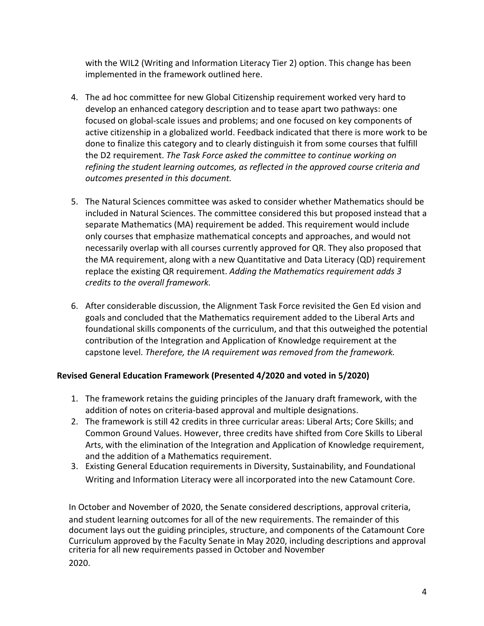with the WIL2 (Writing and Information Literacy Tier 2) option. This change has been implemented in the framework outlined here.

- 4. The ad hoc committee for new Global Citizenship requirement worked very hard to develop an enhanced category description and to tease apart two pathways: one focused on global-scale issues and problems; and one focused on key components of active citizenship in a globalized world. Feedback indicated that there is more work to be done to finalize this category and to clearly distinguish it from some courses that fulfill the D2 requirement. *The Task Force asked the committee to continue working on refining the student learning outcomes, as reflected in the approved course criteria and outcomes presented in this document.*
- 5. The Natural Sciences committee was asked to consider whether Mathematics should be included in Natural Sciences. The committee considered this but proposed instead that a separate Mathematics (MA) requirement be added. This requirement would include only courses that emphasize mathematical concepts and approaches, and would not necessarily overlap with all courses currently approved for QR. They also proposed that the MA requirement, along with a new Quantitative and Data Literacy (QD) requirement replace the existing QR requirement. *Adding the Mathematics requirement adds 3 credits to the overall framework.*
- 6. After considerable discussion, the Alignment Task Force revisited the Gen Ed vision and goals and concluded that the Mathematics requirement added to the Liberal Arts and foundational skills components of the curriculum, and that this outweighed the potential contribution of the Integration and Application of Knowledge requirement at the capstone level. *Therefore, the IA requirement was removed from the framework.*

# **Revised General Education Framework (Presented 4/2020 and voted in 5/2020)**

- 1. The framework retains the guiding principles of the January draft framework, with the addition of notes on criteria-based approval and multiple designations.
- 2. The framework is still 42 credits in three curricular areas: Liberal Arts; Core Skills; and Common Ground Values. However, three credits have shifted from Core Skills to Liberal Arts, with the elimination of the Integration and Application of Knowledge requirement, and the addition of a Mathematics requirement.
- 3. Existing General Education requirements in Diversity, Sustainability, and Foundational Writing and Information Literacy were all incorporated into the new Catamount Core.

In October and November of 2020, the Senate considered descriptions, approval criteria, and student learning outcomes for all of the new requirements. The remainder of this document lays out the guiding principles, structure, and components of the Catamount Core Curriculum approved by the Faculty Senate in May 2020, including descriptions and approval criteria for all new requirements passed in October and November

2020.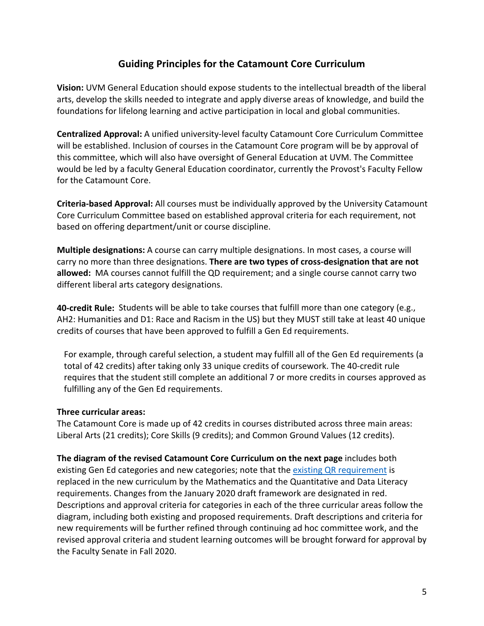# **Guiding Principles for the Catamount Core Curriculum**

**Vision:** UVM General Education should expose students to the intellectual breadth of the liberal arts, develop the skills needed to integrate and apply diverse areas of knowledge, and build the foundations for lifelong learning and active participation in local and global communities.

**Centralized Approval:** A unified university-level faculty Catamount Core Curriculum Committee will be established. Inclusion of courses in the Catamount Core program will be by approval of this committee, which will also have oversight of General Education at UVM. The Committee would be led by a faculty General Education coordinator, currently the Provost's Faculty Fellow for the Catamount Core.

**Criteria-based Approval:** All courses must be individually approved by the University Catamount Core Curriculum Committee based on established approval criteria for each requirement, not based on offering department/unit or course discipline.

**Multiple designations:** A course can carry multiple designations. In most cases, a course will carry no more than three designations. **There are two types of cross-designation that are not allowed:** MA courses cannot fulfill the QD requirement; and a single course cannot carry two different liberal arts category designations.

**40-credit Rule:** Students will be able to take courses that fulfill more than one category (e.g., AH2: Humanities and D1: Race and Racism in the US) but they MUST still take at least 40 unique credits of courses that have been approved to fulfill a Gen Ed requirements.

For example, through careful selection, a student may fulfill all of the Gen Ed requirements (a total of 42 credits) after taking only 33 unique credits of coursework. The 40-credit rule requires that the student still complete an additional 7 or more credits in courses approved as fulfilling any of the Gen Ed requirements.

#### **Three curricular areas:**

The Catamount Core is made up of 42 credits in courses distributed across three main areas: Liberal Arts (21 credits); Core Skills (9 credits); and Common Ground Values (12 credits).

**The diagram of the revised Catamount Core Curriculum on the next page** includes both existing Gen Ed categories and new categories; note that the existing QR requirement is replaced in the new curriculum by the Mathematics and the Quantitative and Data Literacy requirements. Changes from the January 2020 draft framework are designated in red. Descriptions and approval criteria for categories in each of the three curricular areas follow the diagram, including both existing and proposed requirements. Draft descriptions and criteria for new requirements will be further refined through continuing ad hoc committee work, and the revised approval criteria and student learning outcomes will be brought forward for approval by the Faculty Senate in Fall 2020.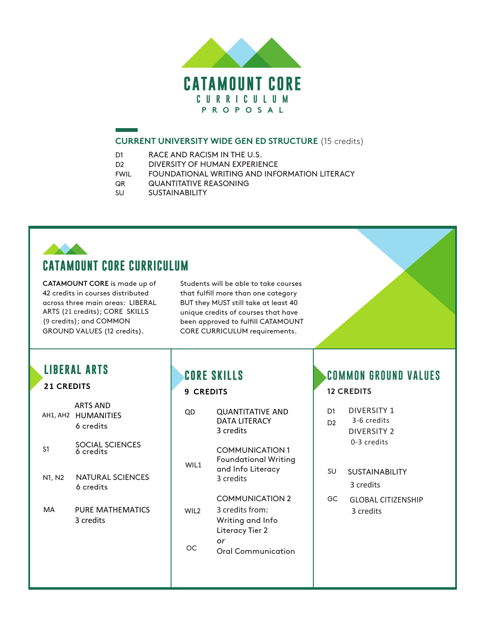

#### **CURRENT UNIVERSITY WIDE GEN ED STRUCTURE** (15 credits)

- D1 RACE AND RACISM IN THE U.S.
- D2 DIVERSITY OF HUMAN EXPERIENCE
- FWIL FOUNDATIONAL WRITING AND INFORMATION LITERACY
- QR QUANTITATIVE REASONING
- SU SUSTAINABILITY

# **CATAMOUNT CORE CURRICULUM**

**CATAMOUNT CORE** is made up of 42 credits in courses distributed across three main areas: LIBERAL ARTS (21 credits); CORE SKILLS (9 credits); and COMMON GROUND VALUES (12 credits).

Students will be able to take courses that fulfill more than one category BUT they MUST still take at least 40 unique credits of courses that have been approved to fulfill CATAMOUNT CORE CURRICULUM requirements.

# **LIBERAL ARTS**

# **21 CREDITS**

AH1, AH2 HUMANITIES 6 credits ARTS AND

- S1 SOCIAL SCIENCES 6 credits
- N1, N2 NATURAL SCIENCES 6 credits
- MA PURE MATHEMATICS 3 credits

# **CORE SKILLS**

# **9 CREDITS**

| ( )   )          | <b>QUANTITATIVE AND</b><br>DATA LITFRACY<br>3 credits                                   |
|------------------|-----------------------------------------------------------------------------------------|
| WIL1             | <b>COMMUNICATION1</b><br><b>Foundational Writing</b><br>and Info Literacy<br>a credits  |
| WII <sub>2</sub> | <b>COMMUNICATION 2</b><br>3 credits from:<br>Writing and Info<br><b>Literacy Tier 2</b> |
|                  | or<br>Oral Communication                                                                |

# **COMMON GROUND VALUES**

#### **12 CREDITS**

| D1<br>D2 | DIVERSITY 1<br>3-6 credits<br>DIVERSITY 2<br>0-3 credits |
|----------|----------------------------------------------------------|
| SU       | <b>SUSTAINABILITY</b>                                    |

3 credits

GC GLOBAL CITIZENSHIP 3 credits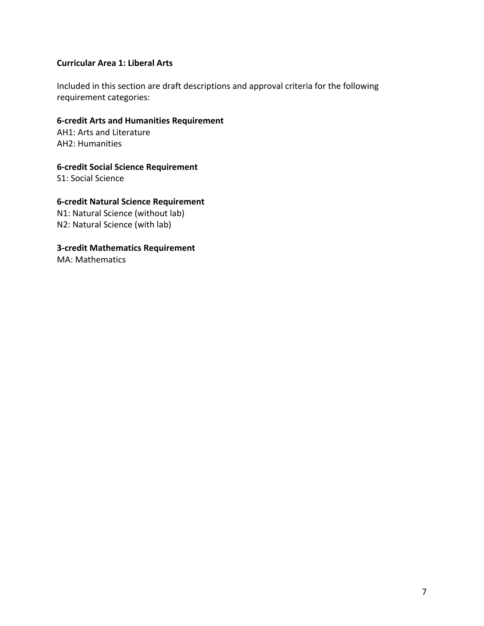# **Curricular Area 1: Liberal Arts**

Included in this section are draft descriptions and approval criteria for the following requirement categories:

#### **6-credit Arts and Humanities Requirement**

AH1: Arts and Literature AH2: Humanities

**6-credit Social Science Requirement**

S1: Social Science

# **6-credit Natural Science Requirement**

N1: Natural Science (without lab) N2: Natural Science (with lab)

**3-credit Mathematics Requirement**

MA: Mathematics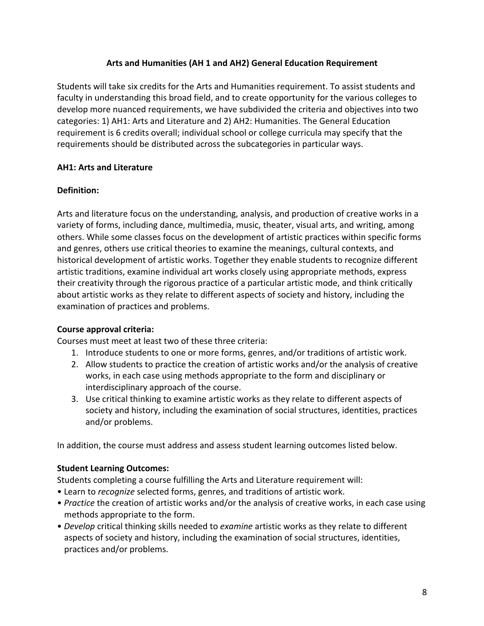# **Arts and Humanities (AH 1 and AH2) General Education Requirement**

Students will take six credits for the Arts and Humanities requirement. To assist students and faculty in understanding this broad field, and to create opportunity for the various colleges to develop more nuanced requirements, we have subdivided the criteria and objectives into two categories: 1) AH1: Arts and Literature and 2) AH2: Humanities. The General Education requirement is 6 credits overall; individual school or college curricula may specify that the requirements should be distributed across the subcategories in particular ways.

# **AH1: Arts and Literature**

# **Definition:**

Arts and literature focus on the understanding, analysis, and production of creative works in a variety of forms, including dance, multimedia, music, theater, visual arts, and writing, among others. While some classes focus on the development of artistic practices within specific forms and genres, others use critical theories to examine the meanings, cultural contexts, and historical development of artistic works. Together they enable students to recognize different artistic traditions, examine individual art works closely using appropriate methods, express their creativity through the rigorous practice of a particular artistic mode, and think critically about artistic works as they relate to different aspects of society and history, including the examination of practices and problems.

# **Course approval criteria:**

Courses must meet at least two of these three criteria:

- 1. Introduce students to one or more forms, genres, and/or traditions of artistic work.
- 2. Allow students to practice the creation of artistic works and/or the analysis of creative works, in each case using methods appropriate to the form and disciplinary or interdisciplinary approach of the course.
- 3. Use critical thinking to examine artistic works as they relate to different aspects of society and history, including the examination of social structures, identities, practices and/or problems.

In addition, the course must address and assess student learning outcomes listed below.

# **Student Learning Outcomes:**

Students completing a course fulfilling the Arts and Literature requirement will:

- Learn to *recognize* selected forms, genres, and traditions of artistic work.
- *Practice* the creation of artistic works and/or the analysis of creative works, in each case using methods appropriate to the form.
- *Develop* critical thinking skills needed to *examine* artistic works as they relate to different aspects of society and history, including the examination of social structures, identities, practices and/or problems.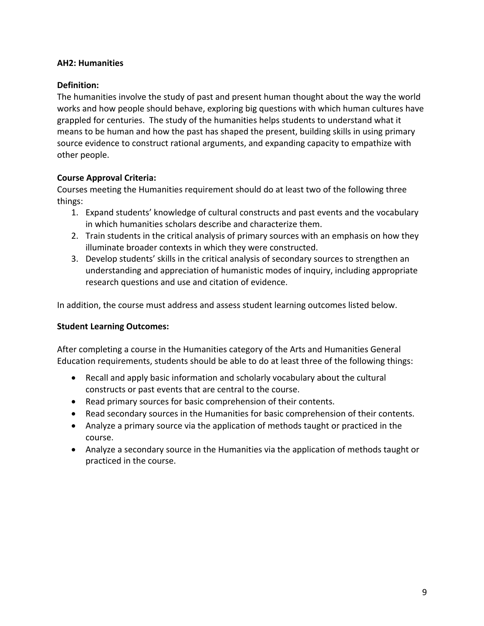#### **AH2: Humanities**

#### **Definition:**

The humanities involve the study of past and present human thought about the way the world works and how people should behave, exploring big questions with which human cultures have grappled for centuries. The study of the humanities helps students to understand what it means to be human and how the past has shaped the present, building skills in using primary source evidence to construct rational arguments, and expanding capacity to empathize with other people.

#### **Course Approval Criteria:**

Courses meeting the Humanities requirement should do at least two of the following three things:

- 1. Expand students' knowledge of cultural constructs and past events and the vocabulary in which humanities scholars describe and characterize them.
- 2. Train students in the critical analysis of primary sources with an emphasis on how they illuminate broader contexts in which they were constructed.
- 3. Develop students' skills in the critical analysis of secondary sources to strengthen an understanding and appreciation of humanistic modes of inquiry, including appropriate research questions and use and citation of evidence.

In addition, the course must address and assess student learning outcomes listed below.

#### **Student Learning Outcomes:**

After completing a course in the Humanities category of the Arts and Humanities General Education requirements, students should be able to do at least three of the following things:

- Recall and apply basic information and scholarly vocabulary about the cultural constructs or past events that are central to the course.
- Read primary sources for basic comprehension of their contents.
- Read secondary sources in the Humanities for basic comprehension of their contents.
- Analyze a primary source via the application of methods taught or practiced in the course.
- Analyze a secondary source in the Humanities via the application of methods taught or practiced in the course.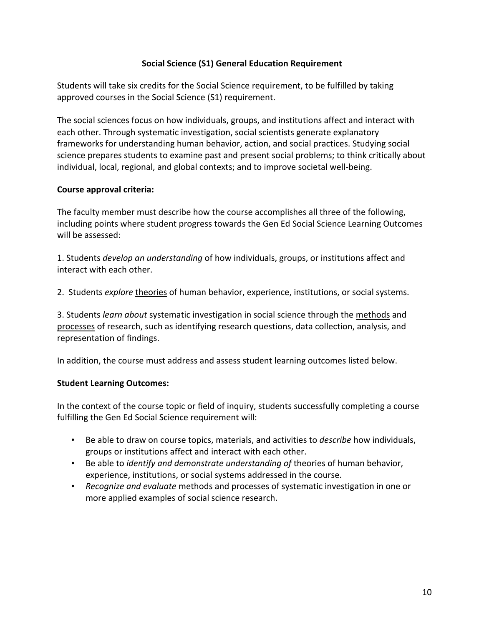# **Social Science (S1) General Education Requirement**

Students will take six credits for the Social Science requirement, to be fulfilled by taking approved courses in the Social Science (S1) requirement.

The social sciences focus on how individuals, groups, and institutions affect and interact with each other. Through systematic investigation, social scientists generate explanatory frameworks for understanding human behavior, action, and social practices. Studying social science prepares students to examine past and present social problems; to think critically about individual, local, regional, and global contexts; and to improve societal well-being.

# **Course approval criteria:**

The faculty member must describe how the course accomplishes all three of the following, including points where student progress towards the Gen Ed Social Science Learning Outcomes will be assessed:

1. Students *develop an understanding* of how individuals, groups, or institutions affect and interact with each other.

2. Students *explore* theories of human behavior, experience, institutions, or social systems.

3. Students *learn about* systematic investigation in social science through the methods and processes of research, such as identifying research questions, data collection, analysis, and representation of findings.

In addition, the course must address and assess student learning outcomes listed below.

# **Student Learning Outcomes:**

In the context of the course topic or field of inquiry, students successfully completing a course fulfilling the Gen Ed Social Science requirement will:

- Be able to draw on course topics, materials, and activities to *describe* how individuals, groups or institutions affect and interact with each other.
- Be able to *identify and demonstrate understanding of* theories of human behavior, experience, institutions, or social systems addressed in the course.
- *Recognize and evaluate* methods and processes of systematic investigation in one or more applied examples of social science research.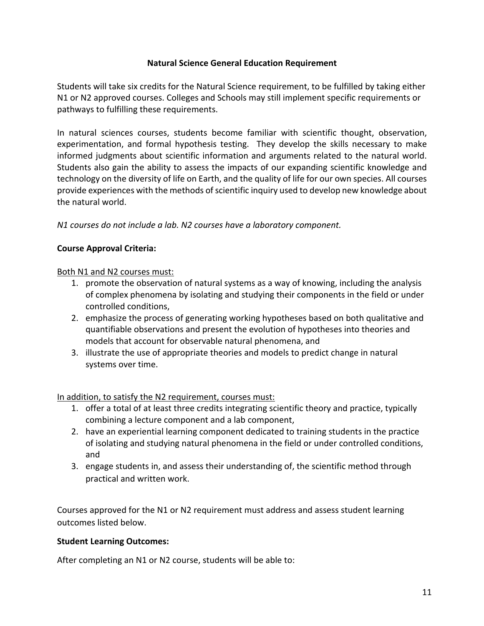# **Natural Science General Education Requirement**

Students will take six credits for the Natural Science requirement, to be fulfilled by taking either N1 or N2 approved courses. Colleges and Schools may still implement specific requirements or pathways to fulfilling these requirements.

In natural sciences courses, students become familiar with scientific thought, observation, experimentation, and formal hypothesis testing. They develop the skills necessary to make informed judgments about scientific information and arguments related to the natural world. Students also gain the ability to assess the impacts of our expanding scientific knowledge and technology on the diversity of life on Earth, and the quality of life for our own species. All courses provide experiences with the methods of scientific inquiry used to develop new knowledge about the natural world.

*N1 courses do not include a lab. N2 courses have a laboratory component.*

#### **Course Approval Criteria:**

#### Both N1 and N2 courses must:

- 1. promote the observation of natural systems as a way of knowing, including the analysis of complex phenomena by isolating and studying their components in the field or under controlled conditions,
- 2. emphasize the process of generating working hypotheses based on both qualitative and quantifiable observations and present the evolution of hypotheses into theories and models that account for observable natural phenomena, and
- 3. illustrate the use of appropriate theories and models to predict change in natural systems over time.

#### In addition, to satisfy the N2 requirement, courses must:

- 1. offer a total of at least three credits integrating scientific theory and practice, typically combining a lecture component and a lab component,
- 2. have an experiential learning component dedicated to training students in the practice of isolating and studying natural phenomena in the field or under controlled conditions, and
- 3. engage students in, and assess their understanding of, the scientific method through practical and written work.

Courses approved for the N1 or N2 requirement must address and assess student learning outcomes listed below.

#### **Student Learning Outcomes:**

After completing an N1 or N2 course, students will be able to: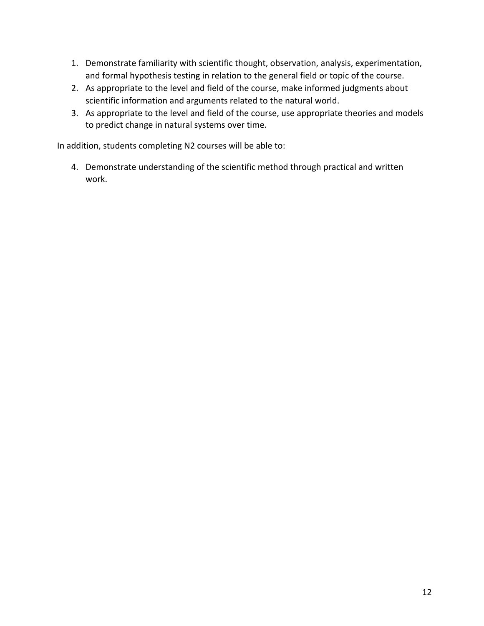- 1. Demonstrate familiarity with scientific thought, observation, analysis, experimentation, and formal hypothesis testing in relation to the general field or topic of the course.
- 2. As appropriate to the level and field of the course, make informed judgments about scientific information and arguments related to the natural world.
- 3. As appropriate to the level and field of the course, use appropriate theories and models to predict change in natural systems over time.

In addition, students completing N2 courses will be able to:

4. Demonstrate understanding of the scientific method through practical and written work.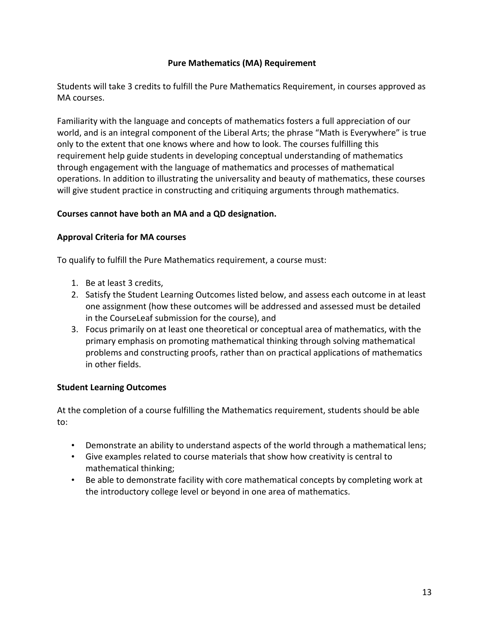# **Pure Mathematics (MA) Requirement**

Students will take 3 credits to fulfill the Pure Mathematics Requirement, in courses approved as MA courses.

Familiarity with the language and concepts of mathematics fosters a full appreciation of our world, and is an integral component of the Liberal Arts; the phrase "Math is Everywhere" is true only to the extent that one knows where and how to look. The courses fulfilling this requirement help guide students in developing conceptual understanding of mathematics through engagement with the language of mathematics and processes of mathematical operations. In addition to illustrating the universality and beauty of mathematics, these courses will give student practice in constructing and critiquing arguments through mathematics.

# **Courses cannot have both an MA and a QD designation.**

#### **Approval Criteria for MA courses**

To qualify to fulfill the Pure Mathematics requirement, a course must:

- 1. Be at least 3 credits,
- 2. Satisfy the Student Learning Outcomes listed below, and assess each outcome in at least one assignment (how these outcomes will be addressed and assessed must be detailed in the CourseLeaf submission for the course), and
- 3. Focus primarily on at least one theoretical or conceptual area of mathematics, with the primary emphasis on promoting mathematical thinking through solving mathematical problems and constructing proofs, rather than on practical applications of mathematics in other fields.

# **Student Learning Outcomes**

At the completion of a course fulfilling the Mathematics requirement, students should be able to:

- Demonstrate an ability to understand aspects of the world through a mathematical lens;
- Give examples related to course materials that show how creativity is central to mathematical thinking;
- Be able to demonstrate facility with core mathematical concepts by completing work at the introductory college level or beyond in one area of mathematics.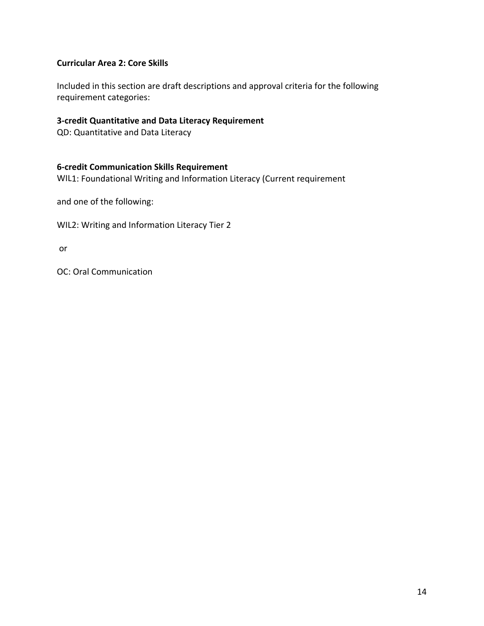# **Curricular Area 2: Core Skills**

Included in this section are draft descriptions and approval criteria for the following requirement categories:

#### **3-credit Quantitative and Data Literacy Requirement**

QD: Quantitative and Data Literacy

#### **6-credit Communication Skills Requirement**

WIL1: Foundational Writing and Information Literacy (Current requirement

and one of the following:

WIL2: Writing and Information Literacy Tier 2

or

OC: Oral Communication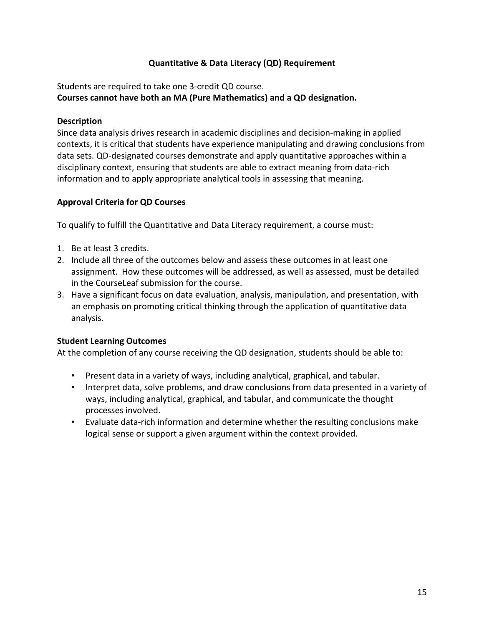# **Quantitative & Data Literacy (QD) Requirement**

Students are required to take one 3-credit QD course.

**Courses cannot have both an MA (Pure Mathematics) and a QD designation.**

#### **Description**

Since data analysis drives research in academic disciplines and decision-making in applied contexts, it is critical that students have experience manipulating and drawing conclusions from data sets. QD-designated courses demonstrate and apply quantitative approaches within a disciplinary context, ensuring that students are able to extract meaning from data-rich information and to apply appropriate analytical tools in assessing that meaning.

# **Approval Criteria for QD Courses**

To qualify to fulfill the Quantitative and Data Literacy requirement, a course must:

- 1. Be at least 3 credits.
- 2. Include all three of the outcomes below and assess these outcomes in at least one assignment. How these outcomes will be addressed, as well as assessed, must be detailed in the CourseLeaf submission for the course.
- 3. Have a significant focus on data evaluation, analysis, manipulation, and presentation, with an emphasis on promoting critical thinking through the application of quantitative data analysis.

# **Student Learning Outcomes**

At the completion of any course receiving the QD designation, students should be able to:

- Present data in a variety of ways, including analytical, graphical, and tabular.
- Interpret data, solve problems, and draw conclusions from data presented in a variety of ways, including analytical, graphical, and tabular, and communicate the thought processes involved.
- Evaluate data-rich information and determine whether the resulting conclusions make logical sense or support a given argument within the context provided.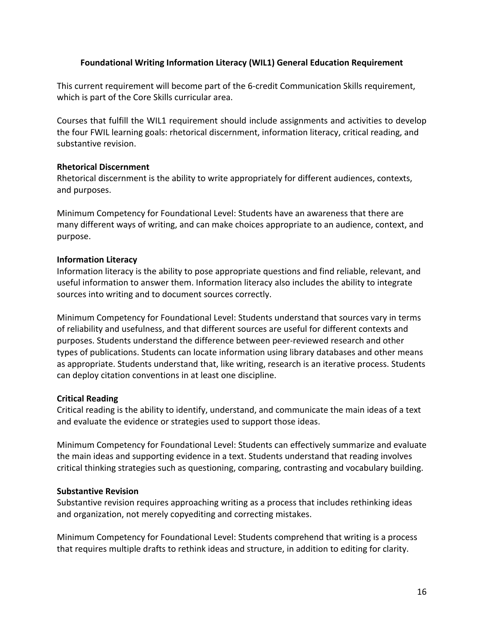#### **Foundational Writing Information Literacy (WIL1) General Education Requirement**

This current requirement will become part of the 6-credit Communication Skills requirement, which is part of the Core Skills curricular area.

Courses that fulfill the WIL1 requirement should include assignments and activities to develop the four FWIL learning goals: rhetorical discernment, information literacy, critical reading, and substantive revision.

#### **Rhetorical Discernment**

Rhetorical discernment is the ability to write appropriately for different audiences, contexts, and purposes.

Minimum Competency for Foundational Level: Students have an awareness that there are many different ways of writing, and can make choices appropriate to an audience, context, and purpose.

#### **Information Literacy**

Information literacy is the ability to pose appropriate questions and find reliable, relevant, and useful information to answer them. Information literacy also includes the ability to integrate sources into writing and to document sources correctly.

Minimum Competency for Foundational Level: Students understand that sources vary in terms of reliability and usefulness, and that different sources are useful for different contexts and purposes. Students understand the difference between peer-reviewed research and other types of publications. Students can locate information using library databases and other means as appropriate. Students understand that, like writing, research is an iterative process. Students can deploy citation conventions in at least one discipline.

# **Critical Reading**

Critical reading is the ability to identify, understand, and communicate the main ideas of a text and evaluate the evidence or strategies used to support those ideas.

Minimum Competency for Foundational Level: Students can effectively summarize and evaluate the main ideas and supporting evidence in a text. Students understand that reading involves critical thinking strategies such as questioning, comparing, contrasting and vocabulary building.

#### **Substantive Revision**

Substantive revision requires approaching writing as a process that includes rethinking ideas and organization, not merely copyediting and correcting mistakes.

Minimum Competency for Foundational Level: Students comprehend that writing is a process that requires multiple drafts to rethink ideas and structure, in addition to editing for clarity.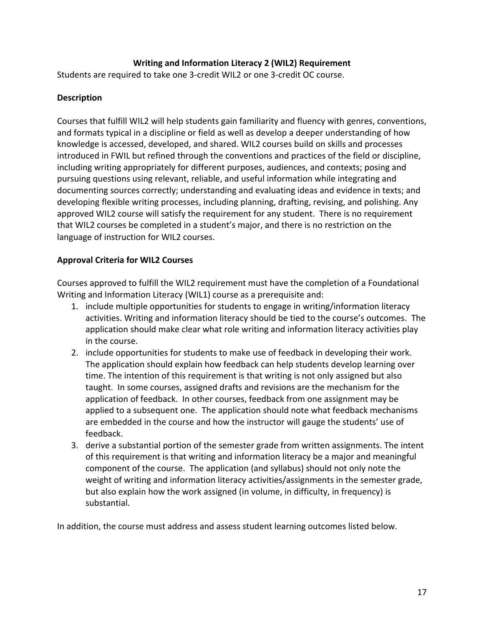# **Writing and Information Literacy 2 (WIL2) Requirement**

Students are required to take one 3-credit WIL2 or one 3-credit OC course.

#### **Description**

Courses that fulfill WIL2 will help students gain familiarity and fluency with genres, conventions, and formats typical in a discipline or field as well as develop a deeper understanding of how knowledge is accessed, developed, and shared. WIL2 courses build on skills and processes introduced in FWIL but refined through the conventions and practices of the field or discipline, including writing appropriately for different purposes, audiences, and contexts; posing and pursuing questions using relevant, reliable, and useful information while integrating and documenting sources correctly; understanding and evaluating ideas and evidence in texts; and developing flexible writing processes, including planning, drafting, revising, and polishing. Any approved WIL2 course will satisfy the requirement for any student. There is no requirement that WIL2 courses be completed in a student's major, and there is no restriction on the language of instruction for WIL2 courses.

#### **Approval Criteria for WIL2 Courses**

Courses approved to fulfill the WIL2 requirement must have the completion of a Foundational Writing and Information Literacy (WIL1) course as a prerequisite and:

- 1. include multiple opportunities for students to engage in writing/information literacy activities. Writing and information literacy should be tied to the course's outcomes. The application should make clear what role writing and information literacy activities play in the course.
- 2. include opportunities for students to make use of feedback in developing their work. The application should explain how feedback can help students develop learning over time. The intention of this requirement is that writing is not only assigned but also taught. In some courses, assigned drafts and revisions are the mechanism for the application of feedback. In other courses, feedback from one assignment may be applied to a subsequent one. The application should note what feedback mechanisms are embedded in the course and how the instructor will gauge the students' use of feedback.
- 3. derive a substantial portion of the semester grade from written assignments. The intent of this requirement is that writing and information literacy be a major and meaningful component of the course. The application (and syllabus) should not only note the weight of writing and information literacy activities/assignments in the semester grade, but also explain how the work assigned (in volume, in difficulty, in frequency) is substantial.

In addition, the course must address and assess student learning outcomes listed below.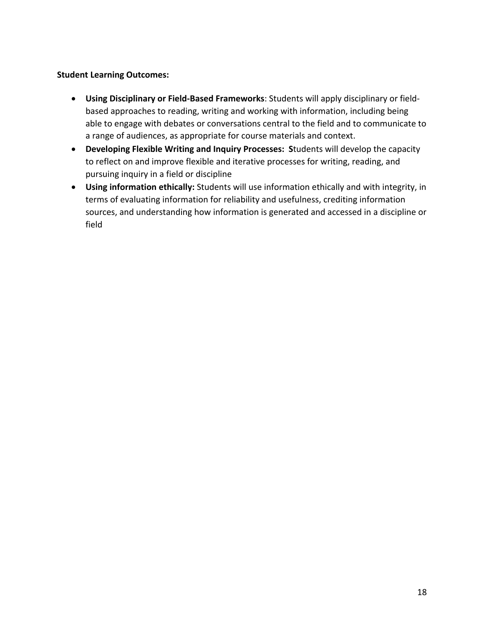#### **Student Learning Outcomes:**

- **Using Disciplinary or Field-Based Frameworks**: Students will apply disciplinary or fieldbased approaches to reading, writing and working with information, including being able to engage with debates or conversations central to the field and to communicate to a range of audiences, as appropriate for course materials and context.
- **Developing Flexible Writing and Inquiry Processes: S**tudents will develop the capacity to reflect on and improve flexible and iterative processes for writing, reading, and pursuing inquiry in a field or discipline
- **Using information ethically:** Students will use information ethically and with integrity, in terms of evaluating information for reliability and usefulness, crediting information sources, and understanding how information is generated and accessed in a discipline or field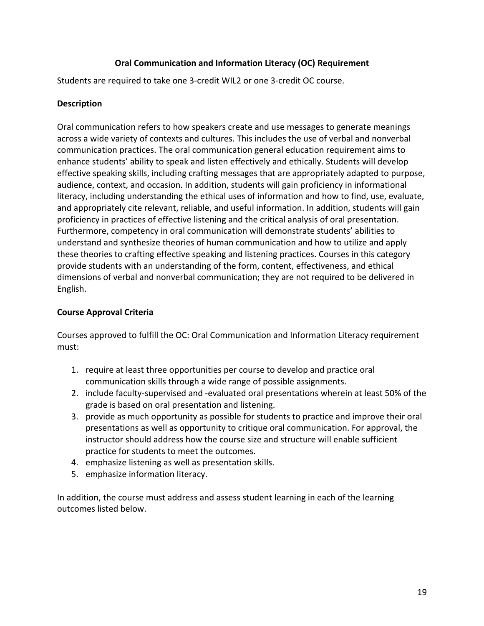# **Oral Communication and Information Literacy (OC) Requirement**

Students are required to take one 3-credit WIL2 or one 3-credit OC course.

#### **Description**

Oral communication refers to how speakers create and use messages to generate meanings across a wide variety of contexts and cultures. This includes the use of verbal and nonverbal communication practices. The oral communication general education requirement aims to enhance students' ability to speak and listen effectively and ethically. Students will develop effective speaking skills, including crafting messages that are appropriately adapted to purpose, audience, context, and occasion. In addition, students will gain proficiency in informational literacy, including understanding the ethical uses of information and how to find, use, evaluate, and appropriately cite relevant, reliable, and useful information. In addition, students will gain proficiency in practices of effective listening and the critical analysis of oral presentation. Furthermore, competency in oral communication will demonstrate students' abilities to understand and synthesize theories of human communication and how to utilize and apply these theories to crafting effective speaking and listening practices. Courses in this category provide students with an understanding of the form, content, effectiveness, and ethical dimensions of verbal and nonverbal communication; they are not required to be delivered in English.

#### **Course Approval Criteria**

Courses approved to fulfill the OC: Oral Communication and Information Literacy requirement must:

- 1. require at least three opportunities per course to develop and practice oral communication skills through a wide range of possible assignments.
- 2. include faculty-supervised and -evaluated oral presentations wherein at least 50% of the grade is based on oral presentation and listening.
- 3. provide as much opportunity as possible for students to practice and improve their oral presentations as well as opportunity to critique oral communication. For approval, the instructor should address how the course size and structure will enable sufficient practice for students to meet the outcomes.
- 4. emphasize listening as well as presentation skills.
- 5. emphasize information literacy.

In addition, the course must address and assess student learning in each of the learning outcomes listed below.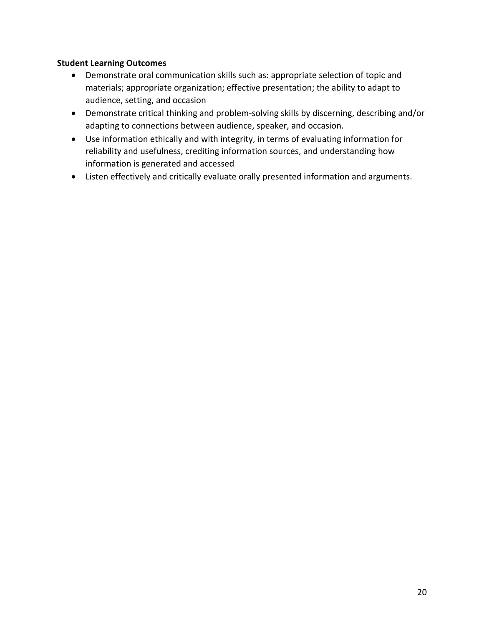# **Student Learning Outcomes**

- Demonstrate oral communication skills such as: appropriate selection of topic and materials; appropriate organization; effective presentation; the ability to adapt to audience, setting, and occasion
- Demonstrate critical thinking and problem-solving skills by discerning, describing and/or adapting to connections between audience, speaker, and occasion.
- Use information ethically and with integrity, in terms of evaluating information for reliability and usefulness, crediting information sources, and understanding how information is generated and accessed
- Listen effectively and critically evaluate orally presented information and arguments.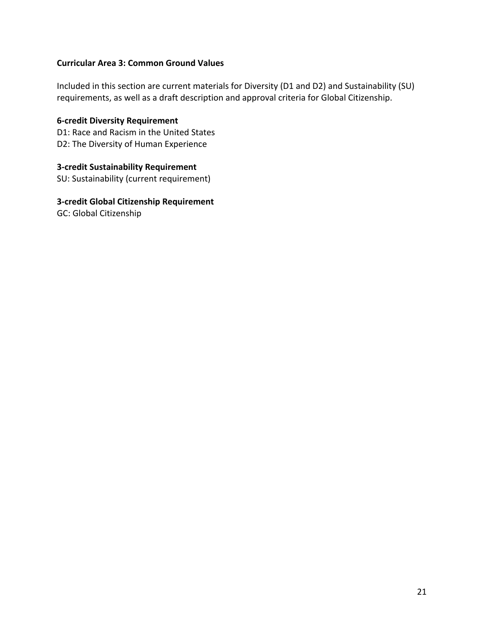#### **Curricular Area 3: Common Ground Values**

Included in this section are current materials for Diversity (D1 and D2) and Sustainability (SU) requirements, as well as a draft description and approval criteria for Global Citizenship.

**6-credit Diversity Requirement** D1: Race and Racism in the United States D2: The Diversity of Human Experience

**3-credit Sustainability Requirement** SU: Sustainability (current requirement)

**3-credit Global Citizenship Requirement** GC: Global Citizenship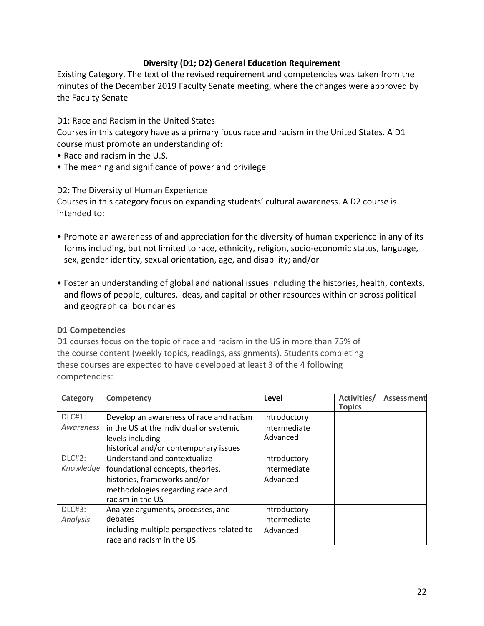#### **Diversity (D1; D2) General Education Requirement**

Existing Category. The text of the revised requirement and competencies was taken from the minutes of the December 2019 Faculty Senate meeting, where the changes were approved by the Faculty Senate

D1: Race and Racism in the United States

Courses in this category have as a primary focus race and racism in the United States. A D1 course must promote an understanding of:

- Race and racism in the U.S.
- The meaning and significance of power and privilege

D2: The Diversity of Human Experience

Courses in this category focus on expanding students' cultural awareness. A D2 course is intended to:

- Promote an awareness of and appreciation for the diversity of human experience in any of its forms including, but not limited to race, ethnicity, religion, socio-economic status, language, sex, gender identity, sexual orientation, age, and disability; and/or
- Foster an understanding of global and national issues including the histories, health, contexts, and flows of people, cultures, ideas, and capital or other resources within or across political and geographical boundaries

#### **D1 Competencies**

D1 courses focus on the topic of race and racism in the US in more than 75% of the course content (weekly topics, readings, assignments). Students completing these courses are expected to have developed at least 3 of the 4 following competencies:

| Category      | <b>Competency</b>                            | Level        | Activities/<br><b>Topics</b> | Assessment |
|---------------|----------------------------------------------|--------------|------------------------------|------------|
| <b>DLC#1:</b> | Develop an awareness of race and racism      | Introductory |                              |            |
| Awareness     | in the US at the individual or systemic      | Intermediate |                              |            |
|               | levels including                             | Advanced     |                              |            |
|               | historical and/or contemporary issues        |              |                              |            |
| $DLC#2$ :     | Understand and contextualize                 | Introductory |                              |            |
|               | Knowledge   foundational concepts, theories, | Intermediate |                              |            |
|               | histories, frameworks and/or                 | Advanced     |                              |            |
|               | methodologies regarding race and             |              |                              |            |
|               | racism in the US                             |              |                              |            |
| <b>DLC#3:</b> | Analyze arguments, processes, and            | Introductory |                              |            |
| Analysis      | debates                                      | Intermediate |                              |            |
|               | including multiple perspectives related to   | Advanced     |                              |            |
|               | race and racism in the US                    |              |                              |            |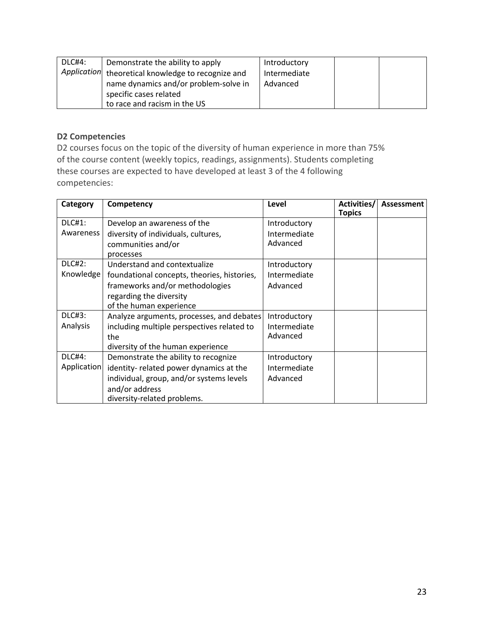| DLC#4: | Demonstrate the ability to apply                   | Introductory |  |
|--------|----------------------------------------------------|--------------|--|
|        | Application theoretical knowledge to recognize and | Intermediate |  |
|        | name dynamics and/or problem-solve in              | Advanced     |  |
|        | specific cases related                             |              |  |
|        | to race and racism in the US                       |              |  |

# **D2 Competencies**

D2 courses focus on the topic of the diversity of human experience in more than 75% of the course content (weekly topics, readings, assignments). Students completing these courses are expected to have developed at least 3 of the 4 following competencies:

| Category      | Competency                                  | Level        | Activities/<br><b>Topics</b> | Assessment |
|---------------|---------------------------------------------|--------------|------------------------------|------------|
| <b>DLC#1:</b> | Develop an awareness of the                 | Introductory |                              |            |
| Awareness     | diversity of individuals, cultures,         | Intermediate |                              |            |
|               | communities and/or                          | Advanced     |                              |            |
|               | processes                                   |              |                              |            |
| <b>DLC#2:</b> | Understand and contextualize                | Introductory |                              |            |
| Knowledge     | foundational concepts, theories, histories, | Intermediate |                              |            |
|               | frameworks and/or methodologies             | Advanced     |                              |            |
|               | regarding the diversity                     |              |                              |            |
|               | of the human experience                     |              |                              |            |
| DLC#3:        | Analyze arguments, processes, and debates   | Introductory |                              |            |
| Analysis      | including multiple perspectives related to  | Intermediate |                              |            |
|               | the                                         | Advanced     |                              |            |
|               | diversity of the human experience           |              |                              |            |
| DLC#4:        | Demonstrate the ability to recognize        | Introductory |                              |            |
| Application   | identity- related power dynamics at the     | Intermediate |                              |            |
|               | individual, group, and/or systems levels    | Advanced     |                              |            |
|               | and/or address                              |              |                              |            |
|               | diversity-related problems.                 |              |                              |            |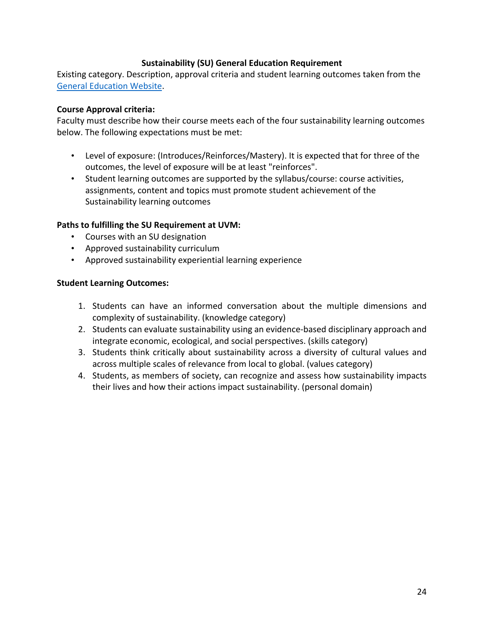#### **Sustainability (SU) General Education Requirement**

Existing category. Description, approval criteria and student learning outcomes taken from the General Education Website.

#### **Course Approval criteria:**

Faculty must describe how their course meets each of the four sustainability learning outcomes below. The following expectations must be met:

- Level of exposure: (Introduces/Reinforces/Mastery). It is expected that for three of the outcomes, the level of exposure will be at least "reinforces".
- Student learning outcomes are supported by the syllabus/course: course activities, assignments, content and topics must promote student achievement of the Sustainability learning outcomes

#### **Paths to fulfilling the SU Requirement at UVM:**

- Courses with an SU designation
- Approved sustainability curriculum
- Approved sustainability experiential learning experience

#### **Student Learning Outcomes:**

- 1. Students can have an informed conversation about the multiple dimensions and complexity of sustainability. (knowledge category)
- 2. Students can evaluate sustainability using an evidence-based disciplinary approach and integrate economic, ecological, and social perspectives. (skills category)
- 3. Students think critically about sustainability across a diversity of cultural values and across multiple scales of relevance from local to global. (values category)
- 4. Students, as members of society, can recognize and assess how sustainability impacts their lives and how their actions impact sustainability. (personal domain)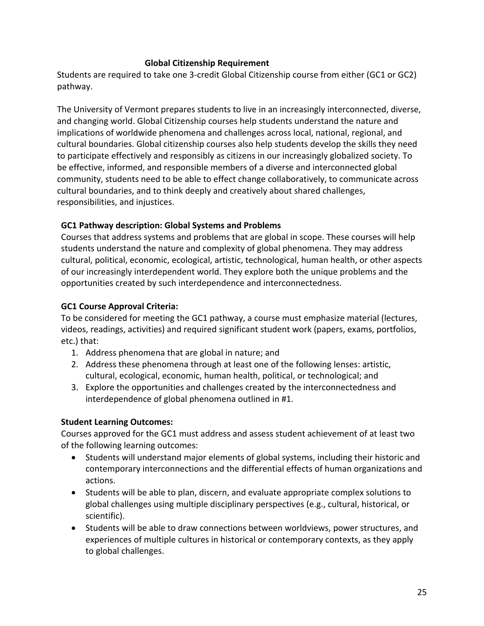#### **Global Citizenship Requirement**

Students are required to take one 3-credit Global Citizenship course from either (GC1 or GC2) pathway.

The University of Vermont prepares students to live in an increasingly interconnected, diverse, and changing world. Global Citizenship courses help students understand the nature and implications of worldwide phenomena and challenges across local, national, regional, and cultural boundaries. Global citizenship courses also help students develop the skills they need to participate effectively and responsibly as citizens in our increasingly globalized society. To be effective, informed, and responsible members of a diverse and interconnected global community, students need to be able to effect change collaboratively, to communicate across cultural boundaries, and to think deeply and creatively about shared challenges, responsibilities, and injustices.

# **GC1 Pathway description: Global Systems and Problems**

Courses that address systems and problems that are global in scope. These courses will help students understand the nature and complexity of global phenomena. They may address cultural, political, economic, ecological, artistic, technological, human health, or other aspects of our increasingly interdependent world. They explore both the unique problems and the opportunities created by such interdependence and interconnectedness.

# **GC1 Course Approval Criteria:**

To be considered for meeting the GC1 pathway, a course must emphasize material (lectures, videos, readings, activities) and required significant student work (papers, exams, portfolios, etc.) that:

- 1. Address phenomena that are global in nature; and
- 2. Address these phenomena through at least one of the following lenses: artistic, cultural, ecological, economic, human health, political, or technological; and
- 3. Explore the opportunities and challenges created by the interconnectedness and interdependence of global phenomena outlined in #1.

# **Student Learning Outcomes:**

Courses approved for the GC1 must address and assess student achievement of at least two of the following learning outcomes:

- Students will understand major elements of global systems, including their historic and contemporary interconnections and the differential effects of human organizations and actions.
- Students will be able to plan, discern, and evaluate appropriate complex solutions to global challenges using multiple disciplinary perspectives (e.g., cultural, historical, or scientific).
- Students will be able to draw connections between worldviews, power structures, and experiences of multiple cultures in historical or contemporary contexts, as they apply to global challenges.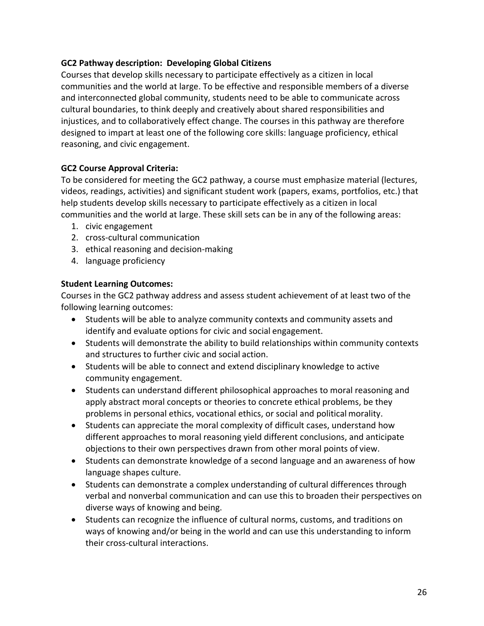# **GC2 Pathway description: Developing Global Citizens**

Courses that develop skills necessary to participate effectively as a citizen in local communities and the world at large. To be effective and responsible members of a diverse and interconnected global community, students need to be able to communicate across cultural boundaries, to think deeply and creatively about shared responsibilities and injustices, and to collaboratively effect change. The courses in this pathway are therefore designed to impart at least one of the following core skills: language proficiency, ethical reasoning, and civic engagement.

# **GC2 Course Approval Criteria:**

To be considered for meeting the GC2 pathway, a course must emphasize material (lectures, videos, readings, activities) and significant student work (papers, exams, portfolios, etc.) that help students develop skills necessary to participate effectively as a citizen in local communities and the world at large. These skill sets can be in any of the following areas:

- 1. civic engagement
- 2. cross-cultural communication
- 3. ethical reasoning and decision-making
- 4. language proficiency

# **Student Learning Outcomes:**

Courses in the GC2 pathway address and assess student achievement of at least two of the following learning outcomes:

- Students will be able to analyze community contexts and community assets and identify and evaluate options for civic and social engagement.
- Students will demonstrate the ability to build relationships within community contexts and structures to further civic and social action.
- Students will be able to connect and extend disciplinary knowledge to active community engagement.
- Students can understand different philosophical approaches to moral reasoning and apply abstract moral concepts or theories to concrete ethical problems, be they problems in personal ethics, vocational ethics, or social and political morality.
- Students can appreciate the moral complexity of difficult cases, understand how different approaches to moral reasoning yield different conclusions, and anticipate objections to their own perspectives drawn from other moral points of view.
- Students can demonstrate knowledge of a second language and an awareness of how language shapes culture.
- Students can demonstrate a complex understanding of cultural differences through verbal and nonverbal communication and can use this to broaden their perspectives on diverse ways of knowing and being.
- Students can recognize the influence of cultural norms, customs, and traditions on ways of knowing and/or being in the world and can use this understanding to inform their cross-cultural interactions.